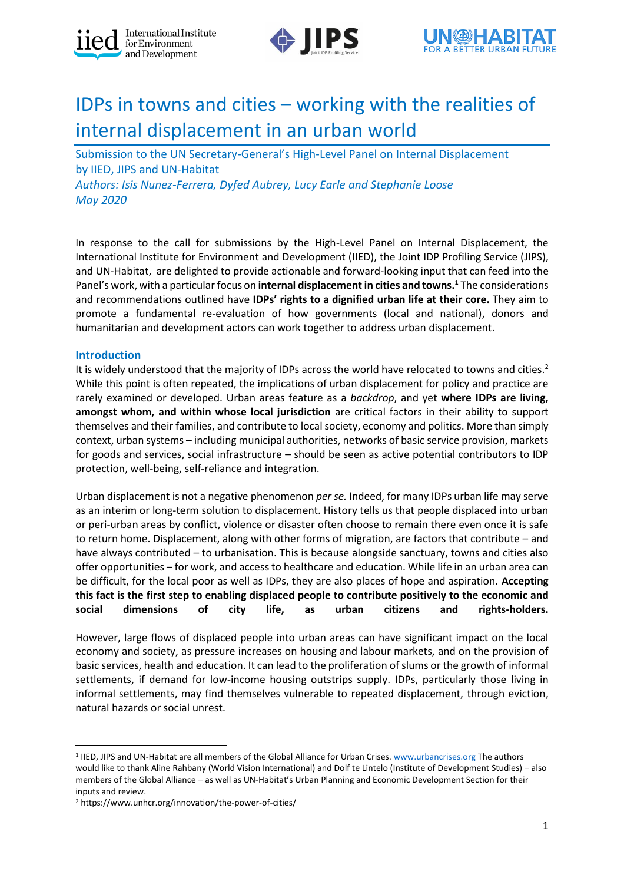





# IDPs in towns and cities – working with the realities of internal displacement in an urban world

Submission to the UN Secretary-General's High-Level Panel on Internal Displacement by IIED, JIPS and UN-Habitat

*Authors: Isis Nunez-Ferrera, Dyfed Aubrey, Lucy Earle and Stephanie Loose May 2020*

In response to the call for submissions by the High-Level Panel on Internal Displacement, the International Institute for Environment and Development (IIED), the Joint IDP Profiling Service (JIPS), and UN-Habitat, are delighted to provide actionable and forward-looking input that can feed into the Panel's work, with a particular focus on **internal displacement in cities and towns.<sup>1</sup>** The considerations and recommendations outlined have **IDPs' rights to a dignified urban life at their core.** They aim to promote a fundamental re-evaluation of how governments (local and national), donors and humanitarian and development actors can work together to address urban displacement.

## **Introduction**

It is widely understood that the majority of IDPs across the world have relocated to towns and cities.<sup>2</sup> While this point is often repeated, the implications of urban displacement for policy and practice are rarely examined or developed. Urban areas feature as a *backdrop*, and yet **where IDPs are living, amongst whom, and within whose local jurisdiction** are critical factors in their ability to support themselves and their families, and contribute to local society, economy and politics. More than simply context, urban systems – including municipal authorities, networks of basic service provision, markets for goods and services, social infrastructure – should be seen as active potential contributors to IDP protection, well-being, self-reliance and integration.

Urban displacement is not a negative phenomenon *per se.* Indeed, for many IDPs urban life may serve as an interim or long-term solution to displacement. History tells us that people displaced into urban or peri-urban areas by conflict, violence or disaster often choose to remain there even once it is safe to return home. Displacement, along with other forms of migration, are factors that contribute – and have always contributed – to urbanisation. This is because alongside sanctuary, towns and cities also offer opportunities – for work, and access to healthcare and education. While life in an urban area can be difficult, for the local poor as well as IDPs, they are also places of hope and aspiration. **Accepting this fact is the first step to enabling displaced people to contribute positively to the economic and social dimensions of city life, as urban citizens and rights-holders.** 

However, large flows of displaced people into urban areas can have significant impact on the local economy and society, as pressure increases on housing and labour markets, and on the provision of basic services, health and education. It can lead to the proliferation of slums or the growth of informal settlements, if demand for low-income housing outstrips supply. IDPs, particularly those living in informal settlements, may find themselves vulnerable to repeated displacement, through eviction, natural hazards or social unrest.

<sup>&</sup>lt;sup>1</sup> IIED, JIPS and UN-Habitat are all members of the Global Alliance for Urban Crises[. www.urbancrises.org](http://www.urbancrises.org/) The authors would like to thank Aline Rahbany (World Vision International) and Dolf te Lintelo (Institute of Development Studies) – also members of the Global Alliance – as well as UN-Habitat's Urban Planning and Economic Development Section for their inputs and review.

<sup>2</sup> https://www.unhcr.org/innovation/the-power-of-cities/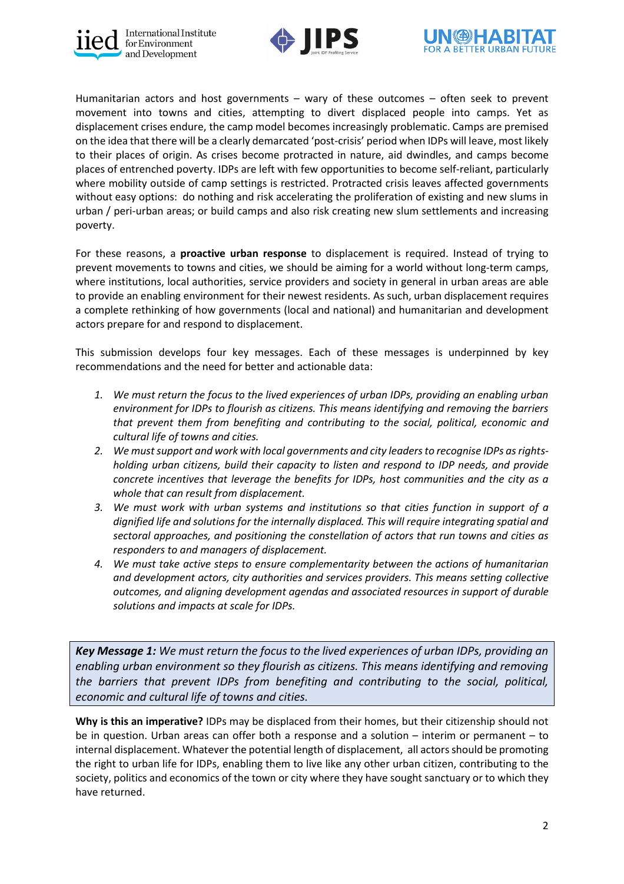





Humanitarian actors and host governments – wary of these outcomes – often seek to prevent movement into towns and cities, attempting to divert displaced people into camps. Yet as displacement crises endure, the camp model becomes increasingly problematic. Camps are premised on the idea that there will be a clearly demarcated 'post-crisis' period when IDPs will leave, most likely to their places of origin. As crises become protracted in nature, aid dwindles, and camps become places of entrenched poverty. IDPs are left with few opportunities to become self-reliant, particularly where mobility outside of camp settings is restricted. Protracted crisis leaves affected governments without easy options: do nothing and risk accelerating the proliferation of existing and new slums in urban / peri-urban areas; or build camps and also risk creating new slum settlements and increasing poverty.

For these reasons, a **proactive urban response** to displacement is required. Instead of trying to prevent movements to towns and cities, we should be aiming for a world without long-term camps, where institutions, local authorities, service providers and society in general in urban areas are able to provide an enabling environment for their newest residents. As such, urban displacement requires a complete rethinking of how governments (local and national) and humanitarian and development actors prepare for and respond to displacement.

This submission develops four key messages. Each of these messages is underpinned by key recommendations and the need for better and actionable data:

- *1. We must return the focus to the lived experiences of urban IDPs, providing an enabling urban environment for IDPs to flourish as citizens. This means identifying and removing the barriers that prevent them from benefiting and contributing to the social, political, economic and cultural life of towns and cities.*
- *2. We must support and work with local governments and city leaders to recognise IDPs as rightsholding urban citizens, build their capacity to listen and respond to IDP needs, and provide concrete incentives that leverage the benefits for IDPs, host communities and the city as a whole that can result from displacement.*
- *3. We must work with urban systems and institutions so that cities function in support of a dignified life and solutions for the internally displaced. This will require integrating spatial and sectoral approaches, and positioning the constellation of actors that run towns and cities as responders to and managers of displacement.*
- *4. We must take active steps to ensure complementarity between the actions of humanitarian and development actors, city authorities and services providers. This means setting collective outcomes, and aligning development agendas and associated resources in support of durable solutions and impacts at scale for IDPs.*

*Key Message 1: We must return the focus to the lived experiences of urban IDPs, providing an enabling urban environment so they flourish as citizens. This means identifying and removing the barriers that prevent IDPs from benefiting and contributing to the social, political, economic and cultural life of towns and cities.*

**Why is this an imperative?** IDPs may be displaced from their homes, but their citizenship should not be in question. Urban areas can offer both a response and a solution – interim or permanent – to internal displacement. Whatever the potential length of displacement, all actors should be promoting the right to urban life for IDPs, enabling them to live like any other urban citizen, contributing to the society, politics and economics of the town or city where they have sought sanctuary or to which they have returned.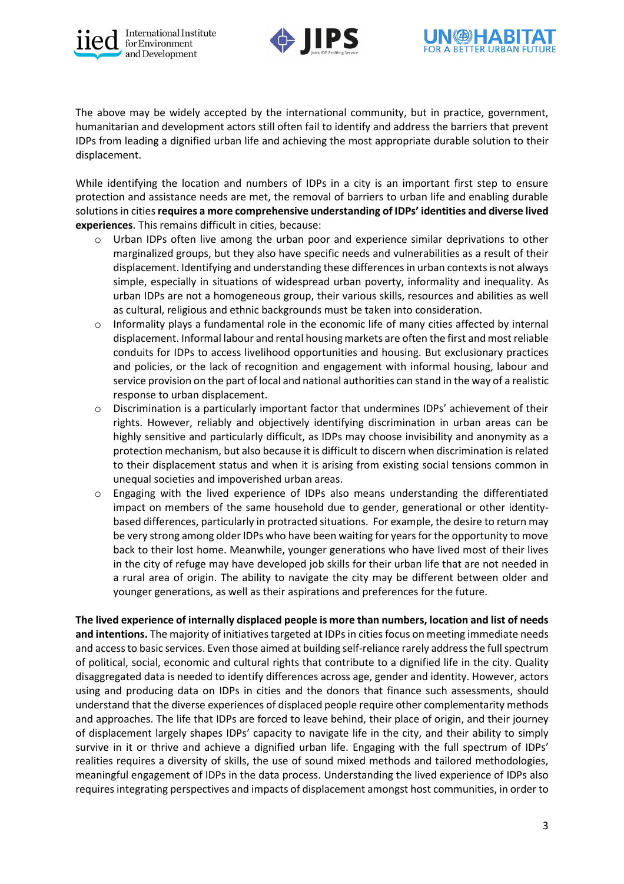





The above may be widely accepted by the international community, but in practice, government, humanitarian and development actors still often fail to identify and address the barriers that prevent IDPs from leading a dignified urban life and achieving the most appropriate durable solution to their displacement.

While identifying the location and numbers of IDPs in a city is an important first step to ensure protection and assistance needs are met, the removal of barriers to urban life and enabling durable solutions in cities **requires a more comprehensive understanding of IDPs' identities and diverse lived experiences**. This remains difficult in cities, because:

- o Urban IDPs often live among the urban poor and experience similar deprivations to other marginalized groups, but they also have specific needs and vulnerabilities as a result of their displacement. Identifying and understanding these differences in urban contexts is not always simple, especially in situations of widespread urban poverty, informality and inequality. As urban IDPs are not a homogeneous group, their various skills, resources and abilities as well as cultural, religious and ethnic backgrounds must be taken into consideration.
- $\circ$  Informality plays a fundamental role in the economic life of many cities affected by internal displacement. Informal labour and rental housing markets are often the first and most reliable conduits for IDPs to access livelihood opportunities and housing. But exclusionary practices and policies, or the lack of recognition and engagement with informal housing, labour and service provision on the part of local and national authorities can stand in the way of a realistic response to urban displacement.
- $\circ$  Discrimination is a particularly important factor that undermines IDPs' achievement of their rights. However, reliably and objectively identifying discrimination in urban areas can be highly sensitive and particularly difficult, as IDPs may choose invisibility and anonymity as a protection mechanism, but also because it is difficult to discern when discrimination is related to their displacement status and when it is arising from existing social tensions common in unequal societies and impoverished urban areas.
- $\circ$  Engaging with the lived experience of IDPs also means understanding the differentiated impact on members of the same household due to gender, generational or other identitybased differences, particularly in protracted situations. For example, the desire to return may be very strong among older IDPs who have been waiting for years for the opportunity to move back to their lost home. Meanwhile, younger generations who have lived most of their lives in the city of refuge may have developed job skills for their urban life that are not needed in a rural area of origin. The ability to navigate the city may be different between older and younger generations, as well as their aspirations and preferences for the future.

**The lived experience of internally displaced people is more than numbers, location and list of needs and intentions.** The majority of initiatives targeted at IDPs in cities focus on meeting immediate needs and access to basic services. Even those aimed at building self-reliance rarely address the full spectrum of political, social, economic and cultural rights that contribute to a dignified life in the city. Quality disaggregated data is needed to identify differences across age, gender and identity. However, actors using and producing data on IDPs in cities and the donors that finance such assessments, should understand that the diverse experiences of displaced people require other complementarity methods and approaches. The life that IDPs are forced to leave behind, their place of origin, and their journey of displacement largely shapes IDPs' capacity to navigate life in the city, and their ability to simply survive in it or thrive and achieve a dignified urban life. Engaging with the full spectrum of IDPs' realities requires a diversity of skills, the use of sound mixed methods and tailored methodologies, meaningful engagement of IDPs in the data process. Understanding the lived experience of IDPs also requires integrating perspectives and impacts of displacement amongst host communities, in order to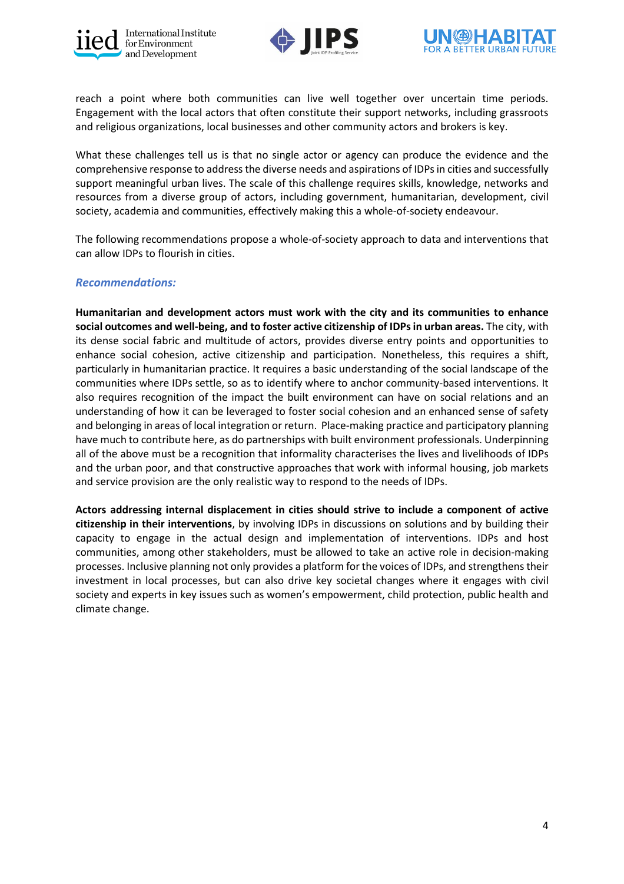





reach a point where both communities can live well together over uncertain time periods. Engagement with the local actors that often constitute their support networks, including grassroots and religious organizations, local businesses and other community actors and brokers is key.

What these challenges tell us is that no single actor or agency can produce the evidence and the comprehensive response to address the diverse needs and aspirations of IDPs in cities and successfully support meaningful urban lives. The scale of this challenge requires skills, knowledge, networks and resources from a diverse group of actors, including government, humanitarian, development, civil society, academia and communities, effectively making this a whole-of-society endeavour.

The following recommendations propose a whole-of-society approach to data and interventions that can allow IDPs to flourish in cities.

## *Recommendations:*

**Humanitarian and development actors must work with the city and its communities to enhance social outcomes and well-being, and to foster active citizenship of IDPs in urban areas.** The city, with its dense social fabric and multitude of actors, provides diverse entry points and opportunities to enhance social cohesion, active citizenship and participation. Nonetheless, this requires a shift, particularly in humanitarian practice. It requires a basic understanding of the social landscape of the communities where IDPs settle, so as to identify where to anchor community-based interventions. It also requires recognition of the impact the built environment can have on social relations and an understanding of how it can be leveraged to foster social cohesion and an enhanced sense of safety and belonging in areas of local integration or return. Place-making practice and participatory planning have much to contribute here, as do partnerships with built environment professionals. Underpinning all of the above must be a recognition that informality characterises the lives and livelihoods of IDPs and the urban poor, and that constructive approaches that work with informal housing, job markets and service provision are the only realistic way to respond to the needs of IDPs.

**Actors addressing internal displacement in cities should strive to include a component of active citizenship in their interventions**, by involving IDPs in discussions on solutions and by building their capacity to engage in the actual design and implementation of interventions. IDPs and host communities, among other stakeholders, must be allowed to take an active role in decision-making processes. Inclusive planning not only provides a platform for the voices of IDPs, and strengthens their investment in local processes, but can also drive key societal changes where it engages with civil society and experts in key issues such as women's empowerment, child protection, public health and climate change.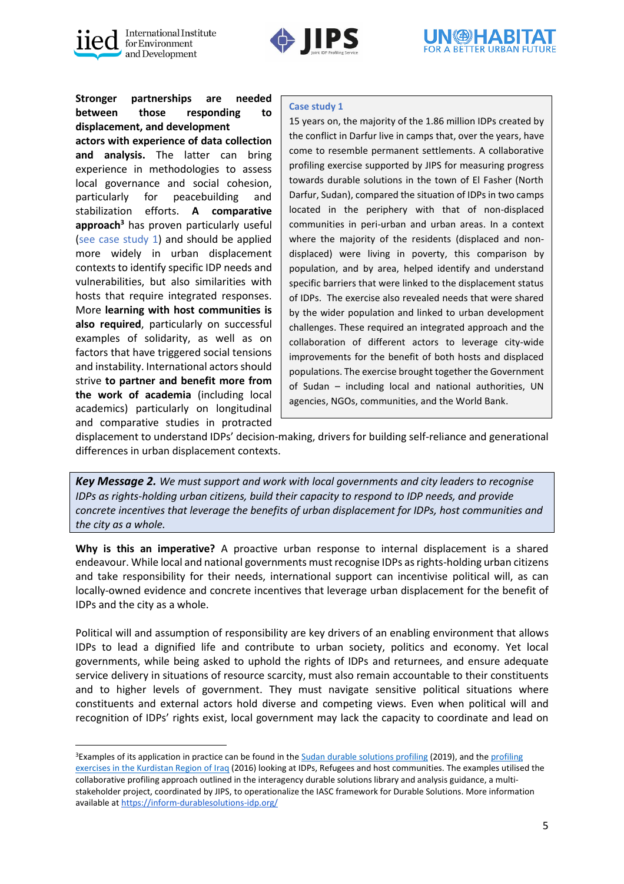



**Stronger partnerships are needed between those responding to displacement, and development actors with experience of data collection and analysis.** The latter can bring experience in methodologies to assess local governance and social cohesion, particularly for peacebuilding and stabilization efforts. **A comparative approach<sup>3</sup>** has proven particularly useful (see case study 1) and should be applied more widely in urban displacement contexts to identify specific IDP needs and vulnerabilities, but also similarities with hosts that require integrated responses. More **learning with host communities is also required**, particularly on successful examples of solidarity, as well as on factors that have triggered social tensions and instability. International actors should strive **to partner and benefit more from the work of academia** (including local academics) particularly on longitudinal and comparative studies in protracted

## **Case study 1**

15 years on, the majority of the 1.86 million IDPs created by the conflict in Darfur live in camps that, over the years, have come to resemble permanent settlements. A collaborative profiling exercise supported by JIPS for measuring progress towards durable solutions in the town of El Fasher (North Darfur, Sudan), compared the situation of IDPs in two camps located in the periphery with that of non-displaced communities in peri-urban and urban areas. In a context where the majority of the residents (displaced and nondisplaced) were living in poverty, this comparison by population, and by area, helped identify and understand specific barriers that were linked to the displacement status of IDPs. The exercise also revealed needs that were shared by the wider population and linked to urban development challenges. These required an integrated approach and the collaboration of different actors to leverage city-wide improvements for the benefit of both hosts and displaced populations. The exercise brought together the Government of Sudan – including local and national authorities, UN agencies, NGOs, communities, and the World Bank.

displacement to understand IDPs' decision-making, drivers for building self-reliance and generational differences in urban displacement contexts.

*Key Message 2. We must support and work with local governments and city leaders to recognise IDPs as rights-holding urban citizens, build their capacity to respond to IDP needs, and provide concrete incentives that leverage the benefits of urban displacement for IDPs, host communities and the city as a whole.*

**Why is this an imperative?** A proactive urban response to internal displacement is a shared endeavour. While local and national governments must recognise IDPs as rights-holding urban citizens and take responsibility for their needs, international support can incentivise political will, as can locally-owned evidence and concrete incentives that leverage urban displacement for the benefit of IDPs and the city as a whole.

Political will and assumption of responsibility are key drivers of an enabling environment that allows IDPs to lead a dignified life and contribute to urban society, politics and economy. Yet local governments, while being asked to uphold the rights of IDPs and returnees, and ensure adequate service delivery in situations of resource scarcity, must also remain accountable to their constituents and to higher levels of government. They must navigate sensitive political situations where constituents and external actors hold diverse and competing views. Even when political will and recognition of IDPs' rights exist, local government may lack the capacity to coordinate and lead on

<sup>&</sup>lt;sup>3</sup>Examples of its application in practice can be found in th[e Sudan durable solutions profiling](https://www.jips.org/jips-publication/profiling-report-sudan-2019/) (2019), and the profiling [exercises in the Kurdistan Region of Iraq](https://www.jips.org/jips-publication/profiling-report-erbil-iraq-2016/) (2016) looking at IDPs, Refugees and host communities. The examples utilised the collaborative profiling approach outlined in the interagency durable solutions library and analysis guidance, a multistakeholder project, coordinated by JIPS, to operationalize the IASC framework for Durable Solutions. More information available at<https://inform-durablesolutions-idp.org/>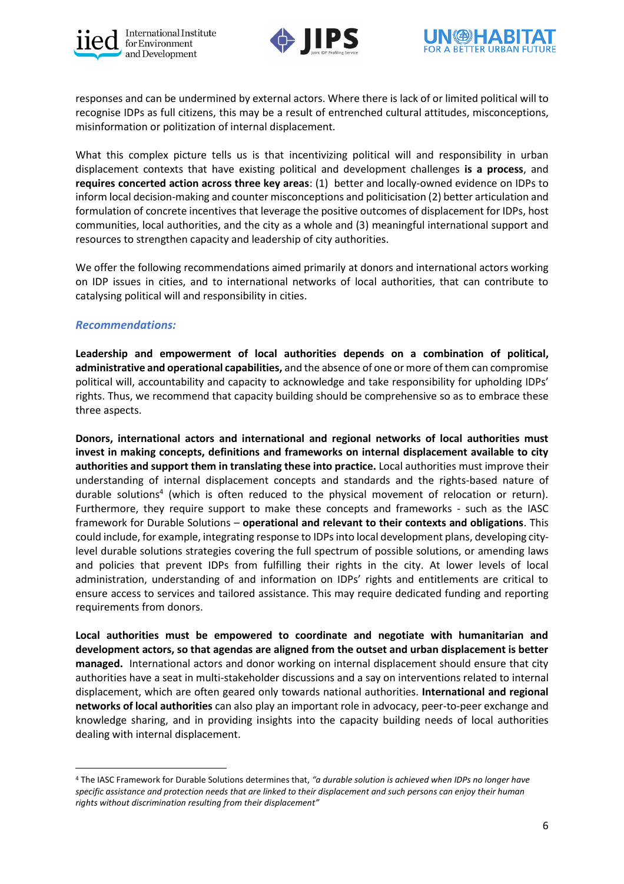





responses and can be undermined by external actors. Where there is lack of or limited political will to recognise IDPs as full citizens, this may be a result of entrenched cultural attitudes, misconceptions, misinformation or politization of internal displacement.

What this complex picture tells us is that incentivizing political will and responsibility in urban displacement contexts that have existing political and development challenges **is a process**, and **requires concerted action across three key areas**: (1) better and locally-owned evidence on IDPs to inform local decision-making and counter misconceptions and politicisation (2) better articulation and formulation of concrete incentives that leverage the positive outcomes of displacement for IDPs, host communities, local authorities, and the city as a whole and (3) meaningful international support and resources to strengthen capacity and leadership of city authorities.

We offer the following recommendations aimed primarily at donors and international actors working on IDP issues in cities, and to international networks of local authorities, that can contribute to catalysing political will and responsibility in cities.

## *Recommendations:*

**Leadership and empowerment of local authorities depends on a combination of political, administrative and operational capabilities,** and the absence of one or more of them can compromise political will, accountability and capacity to acknowledge and take responsibility for upholding IDPs' rights. Thus, we recommend that capacity building should be comprehensive so as to embrace these three aspects.

**Donors, international actors and international and regional networks of local authorities must invest in making concepts, definitions and frameworks on internal displacement available to city authorities and support them in translating these into practice.** Local authorities must improve their understanding of internal displacement concepts and standards and the rights-based nature of durable solutions<sup>4</sup> (which is often reduced to the physical movement of relocation or return). Furthermore, they require support to make these concepts and frameworks - such as the IASC framework for Durable Solutions – **operational and relevant to their contexts and obligations**. This could include, for example, integrating response to IDPs into local development plans, developing citylevel durable solutions strategies covering the full spectrum of possible solutions, or amending laws and policies that prevent IDPs from fulfilling their rights in the city. At lower levels of local administration, understanding of and information on IDPs' rights and entitlements are critical to ensure access to services and tailored assistance. This may require dedicated funding and reporting requirements from donors.

**Local authorities must be empowered to coordinate and negotiate with humanitarian and development actors, so that agendas are aligned from the outset and urban displacement is better managed.** International actors and donor working on internal displacement should ensure that city authorities have a seat in multi-stakeholder discussions and a say on interventions related to internal displacement, which are often geared only towards national authorities. **International and regional networks of local authorities** can also play an important role in advocacy, peer-to-peer exchange and knowledge sharing, and in providing insights into the capacity building needs of local authorities dealing with internal displacement.

<sup>4</sup> The IASC Framework for Durable Solutions determines that, *"a durable solution is achieved when IDPs no longer have specific assistance and protection needs that are linked to their displacement and such persons can enjoy their human rights without discrimination resulting from their displacement"*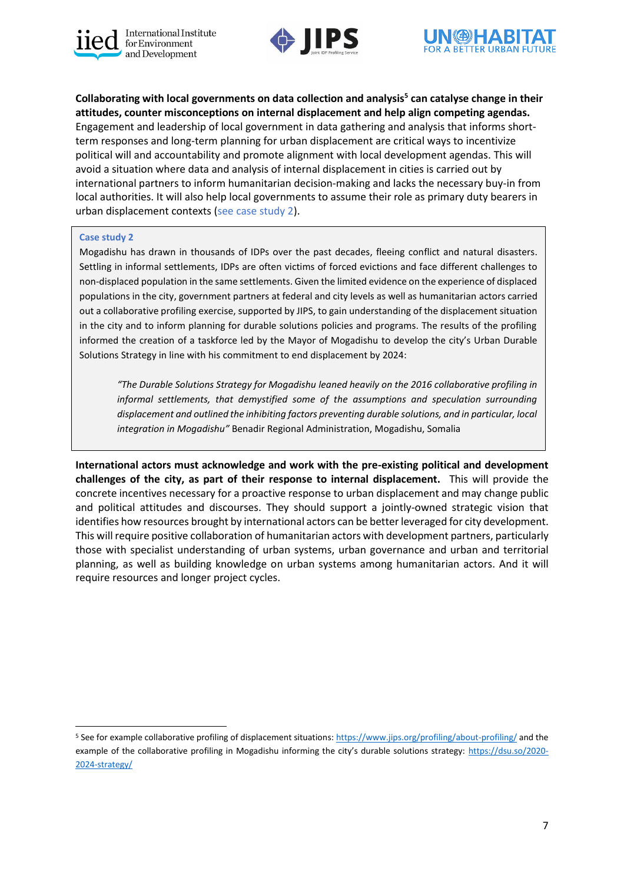





**Collaborating with local governments on data collection and analysis<sup>5</sup> can catalyse change in their attitudes, counter misconceptions on internal displacement and help align competing agendas.** Engagement and leadership of local government in data gathering and analysis that informs shortterm responses and long-term planning for urban displacement are critical ways to incentivize political will and accountability and promote alignment with local development agendas. This will avoid a situation where data and analysis of internal displacement in cities is carried out by international partners to inform humanitarian decision-making and lacks the necessary buy-in from local authorities. It will also help local governments to assume their role as primary duty bearers in urban displacement contexts (see case study 2).

#### **Case study 2**

Mogadishu has drawn in thousands of IDPs over the past decades, fleeing conflict and natural disasters. Settling in informal settlements, IDPs are often victims of forced evictions and face different challenges to non-displaced population in the same settlements. Given the limited evidence on the experience of displaced populations in the city, government partners at federal and city levels as well as humanitarian actors carried out a collaborative profiling exercise, supported by JIPS, to gain understanding of the displacement situation in the city and to inform planning for durable solutions policies and programs. The results of the profiling informed the creation of a taskforce led by the Mayor of Mogadishu to develop the city's Urban Durable Solutions Strategy in line with his commitment to end displacement by 2024:

*"The Durable Solutions Strategy for Mogadishu leaned heavily on the 2016 collaborative profiling in informal settlements, that demystified some of the assumptions and speculation surrounding displacement and outlined the inhibiting factors preventing durable solutions, and in particular, local integration in Mogadishu"* Benadir Regional Administration, Mogadishu, Somalia

**International actors must acknowledge and work with the pre-existing political and development challenges of the city, as part of their response to internal displacement.** This will provide the concrete incentives necessary for a proactive response to urban displacement and may change public and political attitudes and discourses. They should support a jointly-owned strategic vision that identifies how resources brought by international actors can be better leveraged for city development. This will require positive collaboration of humanitarian actors with development partners, particularly those with specialist understanding of urban systems, urban governance and urban and territorial planning, as well as building knowledge on urban systems among humanitarian actors. And it will require resources and longer project cycles.

<sup>&</sup>lt;sup>5</sup> See for example collaborative profiling of displacement situations[: https://www.jips.org/profiling/about-profiling/](https://www.jips.org/profiling/about-profiling/) and the example of the collaborative profiling in Mogadishu informing the city's durable solutions strategy: [https://dsu.so/2020-](https://dsu.so/2020-2024-strategy/) [2024-strategy/](https://dsu.so/2020-2024-strategy/)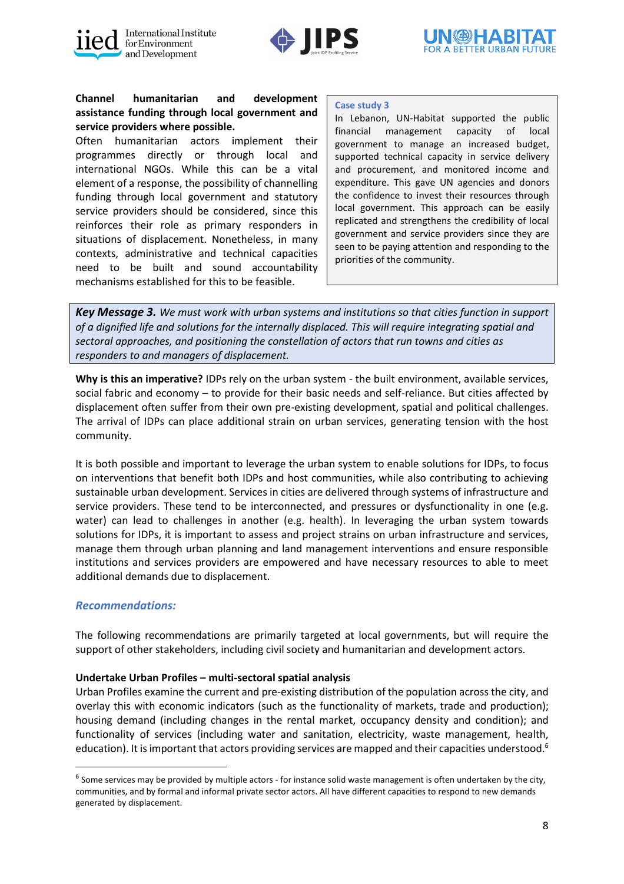





## **Channel humanitarian and development assistance funding through local government and service providers where possible.**

Often humanitarian actors implement their programmes directly or through local and international NGOs. While this can be a vital element of a response, the possibility of channelling funding through local government and statutory service providers should be considered, since this reinforces their role as primary responders in situations of displacement. Nonetheless, in many contexts, administrative and technical capacities need to be built and sound accountability mechanisms established for this to be feasible.

#### **Case study 3**

In Lebanon, UN-Habitat supported the public financial management capacity of local government to manage an increased budget, supported technical capacity in service delivery and procurement, and monitored income and expenditure. This gave UN agencies and donors the confidence to invest their resources through local government. This approach can be easily replicated and strengthens the credibility of local government and service providers since they are seen to be paying attention and responding to the priorities of the community.

*Key Message 3. We must work with urban systems and institutions so that cities function in support of a dignified life and solutions for the internally displaced. This will require integrating spatial and sectoral approaches, and positioning the constellation of actors that run towns and cities as responders to and managers of displacement.* 

**Why is this an imperative?** IDPs rely on the urban system - the built environment, available services, social fabric and economy – to provide for their basic needs and self-reliance. But cities affected by displacement often suffer from their own pre-existing development, spatial and political challenges. The arrival of IDPs can place additional strain on urban services, generating tension with the host community.

It is both possible and important to leverage the urban system to enable solutions for IDPs, to focus on interventions that benefit both IDPs and host communities, while also contributing to achieving sustainable urban development. Services in cities are delivered through systems of infrastructure and service providers. These tend to be interconnected, and pressures or dysfunctionality in one (e.g. water) can lead to challenges in another (e.g. health). In leveraging the urban system towards solutions for IDPs, it is important to assess and project strains on urban infrastructure and services, manage them through urban planning and land management interventions and ensure responsible institutions and services providers are empowered and have necessary resources to able to meet additional demands due to displacement.

## *Recommendations:*

The following recommendations are primarily targeted at local governments, but will require the support of other stakeholders, including civil society and humanitarian and development actors.

## **Undertake Urban Profiles – multi-sectoral spatial analysis**

Urban Profiles examine the current and pre-existing distribution of the population across the city, and overlay this with economic indicators (such as the functionality of markets, trade and production); housing demand (including changes in the rental market, occupancy density and condition); and functionality of services (including water and sanitation, electricity, waste management, health, education). It is important that actors providing services are mapped and their capacities understood.<sup>6</sup>

<sup>&</sup>lt;sup>6</sup> Some services may be provided by multiple actors - for instance solid waste management is often undertaken by the city, communities, and by formal and informal private sector actors. All have different capacities to respond to new demands generated by displacement.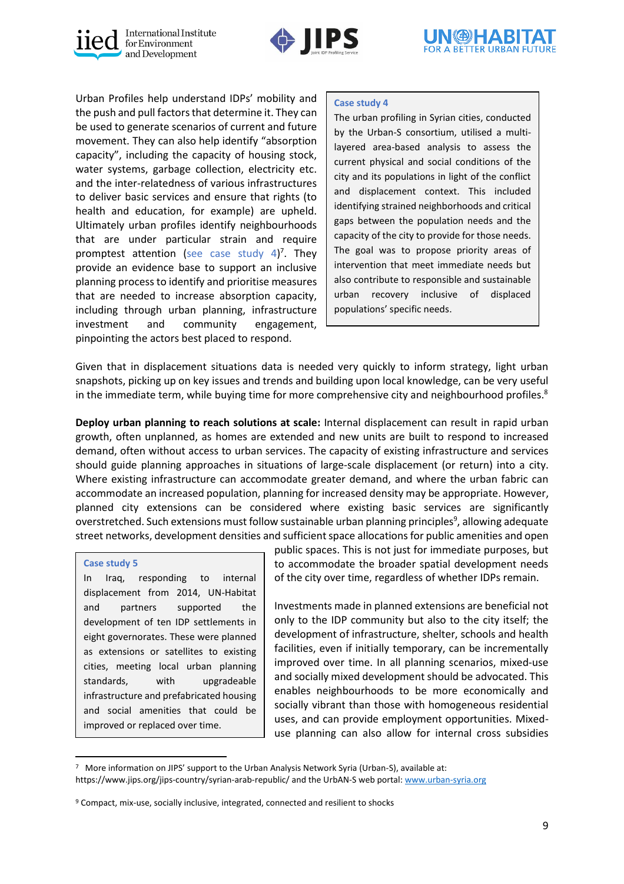





Urban Profiles help understand IDPs' mobility and the push and pull factors that determine it. They can be used to generate scenarios of current and future movement. They can also help identify "absorption capacity", including the capacity of housing stock, water systems, garbage collection, electricity etc. and the inter-relatedness of various infrastructures to deliver basic services and ensure that rights (to health and education, for example) are upheld. Ultimately urban profiles identify neighbourhoods that are under particular strain and require promptest attention (see case study 4) 7 . They provide an evidence base to support an inclusive planning process to identify and prioritise measures that are needed to increase absorption capacity, including through urban planning, infrastructure investment and community engagement, pinpointing the actors best placed to respond.

## **Case study 4**

The urban profiling in Syrian cities, conducted by the Urban-S consortium, utilised a multilayered area-based analysis to assess the current physical and social conditions of the city and its populations in light of the conflict and displacement context. This included identifying strained neighborhoods and critical gaps between the population needs and the capacity of the city to provide for those needs. The goal was to propose priority areas of intervention that meet immediate needs but also contribute to responsible and sustainable urban recovery inclusive of displaced populations' specific needs.

Given that in displacement situations data is needed very quickly to inform strategy, light urban snapshots, picking up on key issues and trends and building upon local knowledge, can be very useful in the immediate term, while buying time for more comprehensive city and neighbourhood profiles. $8$ 

**Deploy urban planning to reach solutions at scale:** Internal displacement can result in rapid urban growth, often unplanned, as homes are extended and new units are built to respond to increased demand, often without access to urban services. The capacity of existing infrastructure and services should guide planning approaches in situations of large-scale displacement (or return) into a city. Where existing infrastructure can accommodate greater demand, and where the urban fabric can accommodate an increased population, planning for increased density may be appropriate. However, planned city extensions can be considered where existing basic services are significantly overstretched. Such extensions must follow sustainable urban planning principles<sup>9</sup>, allowing adequate street networks, development densities and sufficient space allocations for public amenities and open

#### **Case study 5**

In Iraq, responding to internal displacement from 2014, UN-Habitat and partners supported the development of ten IDP settlements in eight governorates. These were planned as extensions or satellites to existing cities, meeting local urban planning standards, with upgradeable infrastructure and prefabricated housing and social amenities that could be improved or replaced over time.

public spaces. This is not just for immediate purposes, but to accommodate the broader spatial development needs of the city over time, regardless of whether IDPs remain.

Investments made in planned extensions are beneficial not only to the IDP community but also to the city itself; the development of infrastructure, shelter, schools and health facilities, even if initially temporary, can be incrementally improved over time. In all planning scenarios, mixed-use and socially mixed development should be advocated. This enables neighbourhoods to be more economically and socially vibrant than those with homogeneous residential uses, and can provide employment opportunities. Mixeduse planning can also allow for internal cross subsidies

<sup>7</sup> More information on JIPS' support to the Urban Analysis Network Syria (Urban-S), available at: <https://www.jips.org/jips-country/syrian-arab-republic/> and the UrbAN-S web portal[: www.urban-syria.org](http://www.urban-syria.org/)

<sup>&</sup>lt;sup>9</sup> Compact, mix-use, socially inclusive, integrated, connected and resilient to shocks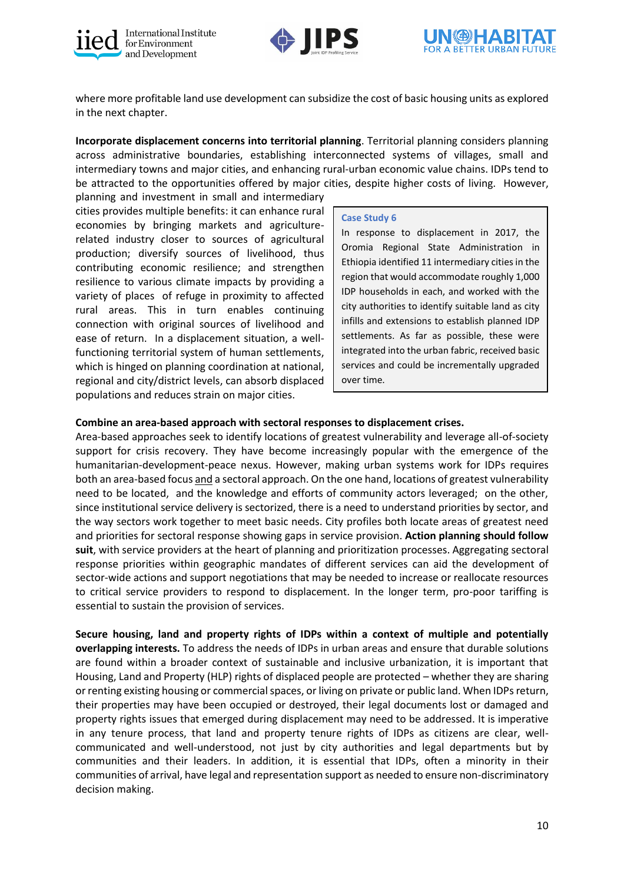





where more profitable land use development can subsidize the cost of basic housing units as explored in the next chapter.

**Incorporate displacement concerns into territorial planning**. Territorial planning considers planning across administrative boundaries, establishing interconnected systems of villages, small and intermediary towns and major cities, and enhancing rural-urban economic value chains. IDPs tend to be attracted to the opportunities offered by major cities, despite higher costs of living. However,

planning and investment in small and intermediary cities provides multiple benefits: it can enhance rural economies by bringing markets and agriculturerelated industry closer to sources of agricultural production; diversify sources of livelihood, thus contributing economic resilience; and strengthen resilience to various climate impacts by providing a variety of places of refuge in proximity to affected rural areas. This in turn enables continuing connection with original sources of livelihood and ease of return. In a displacement situation, a wellfunctioning territorial system of human settlements, which is hinged on planning coordination at national, regional and city/district levels, can absorb displaced populations and reduces strain on major cities.

#### **Case Study 6**

In response to displacement in 2017, the Oromia Regional State Administration in Ethiopia identified 11 intermediary cities in the region that would accommodate roughly 1,000 IDP households in each, and worked with the city authorities to identify suitable land as city infills and extensions to establish planned IDP settlements. As far as possible, these were integrated into the urban fabric, received basic services and could be incrementally upgraded over time.

## **Combine an area-based approach with sectoral responses to displacement crises.**

Area-based approaches seek to identify locations of greatest vulnerability and leverage all-of-society support for crisis recovery. They have become increasingly popular with the emergence of the humanitarian-development-peace nexus. However, making urban systems work for IDPs requires both an area-based focus and a sectoral approach. On the one hand, locations of greatest vulnerability need to be located, and the knowledge and efforts of community actors leveraged; on the other, since institutional service delivery is sectorized, there is a need to understand priorities by sector, and the way sectors work together to meet basic needs. City profiles both locate areas of greatest need and priorities for sectoral response showing gaps in service provision. **Action planning should follow suit**, with service providers at the heart of planning and prioritization processes. Aggregating sectoral response priorities within geographic mandates of different services can aid the development of sector-wide actions and support negotiations that may be needed to increase or reallocate resources to critical service providers to respond to displacement. In the longer term, pro-poor tariffing is essential to sustain the provision of services.

**Secure housing, land and property rights of IDPs within a context of multiple and potentially overlapping interests.** To address the needs of IDPs in urban areas and ensure that durable solutions are found within a broader context of sustainable and inclusive urbanization, it is important that Housing, Land and Property (HLP) rights of displaced people are protected – whether they are sharing or renting existing housing or commercial spaces, or living on private or public land. When IDPs return, their properties may have been occupied or destroyed, their legal documents lost or damaged and property rights issues that emerged during displacement may need to be addressed. It is imperative in any tenure process, that land and property tenure rights of IDPs as citizens are clear, wellcommunicated and well-understood, not just by city authorities and legal departments but by communities and their leaders. In addition, it is essential that IDPs, often a minority in their communities of arrival, have legal and representation support as needed to ensure non-discriminatory decision making.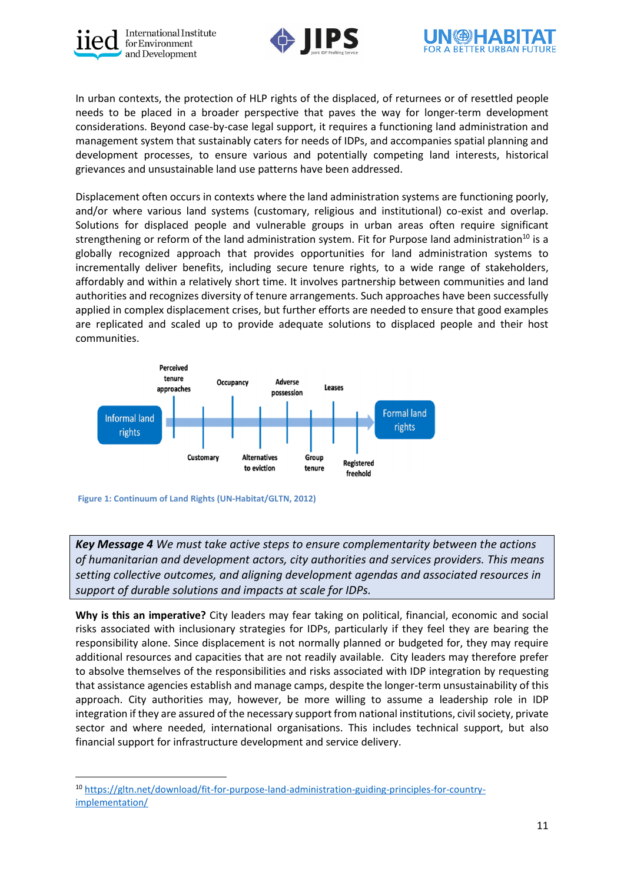





In urban contexts, the protection of HLP rights of the displaced, of returnees or of resettled people needs to be placed in a broader perspective that paves the way for longer-term development considerations. Beyond case-by-case legal support, it requires a functioning land administration and management system that sustainably caters for needs of IDPs, and accompanies spatial planning and development processes, to ensure various and potentially competing land interests, historical grievances and unsustainable land use patterns have been addressed.

Displacement often occurs in contexts where the land administration systems are functioning poorly, and/or where various land systems (customary, religious and institutional) co-exist and overlap. Solutions for displaced people and vulnerable groups in urban areas often require significant strengthening or reform of the land administration system. Fit for Purpose land administration<sup>10</sup> is a globally recognized approach that provides opportunities for land administration systems to incrementally deliver benefits, including secure tenure rights, to a wide range of stakeholders, affordably and within a relatively short time. It involves partnership between communities and land authorities and recognizes diversity of tenure arrangements. Such approaches have been successfully applied in complex displacement crises, but further efforts are needed to ensure that good examples are replicated and scaled up to provide adequate solutions to displaced people and their host communities.



**Figure 1: Continuum of Land Rights (UN-Habitat/GLTN, 2012)**

*Key Message 4 We must take active steps to ensure complementarity between the actions of humanitarian and development actors, city authorities and services providers. This means setting collective outcomes, and aligning development agendas and associated resources in support of durable solutions and impacts at scale for IDPs.* 

**Why is this an imperative?** City leaders may fear taking on political, financial, economic and social risks associated with inclusionary strategies for IDPs, particularly if they feel they are bearing the responsibility alone. Since displacement is not normally planned or budgeted for, they may require additional resources and capacities that are not readily available. City leaders may therefore prefer to absolve themselves of the responsibilities and risks associated with IDP integration by requesting that assistance agencies establish and manage camps, despite the longer-term unsustainability of this approach. City authorities may, however, be more willing to assume a leadership role in IDP integration if they are assured of the necessary support from national institutions, civil society, private sector and where needed, international organisations. This includes technical support, but also financial support for infrastructure development and service delivery.

<sup>10</sup> [https://gltn.net/download/fit-for-purpose-land-administration-guiding-principles-for-country](https://gltn.net/download/fit-for-purpose-land-administration-guiding-principles-for-country-implementation/)[implementation/](https://gltn.net/download/fit-for-purpose-land-administration-guiding-principles-for-country-implementation/)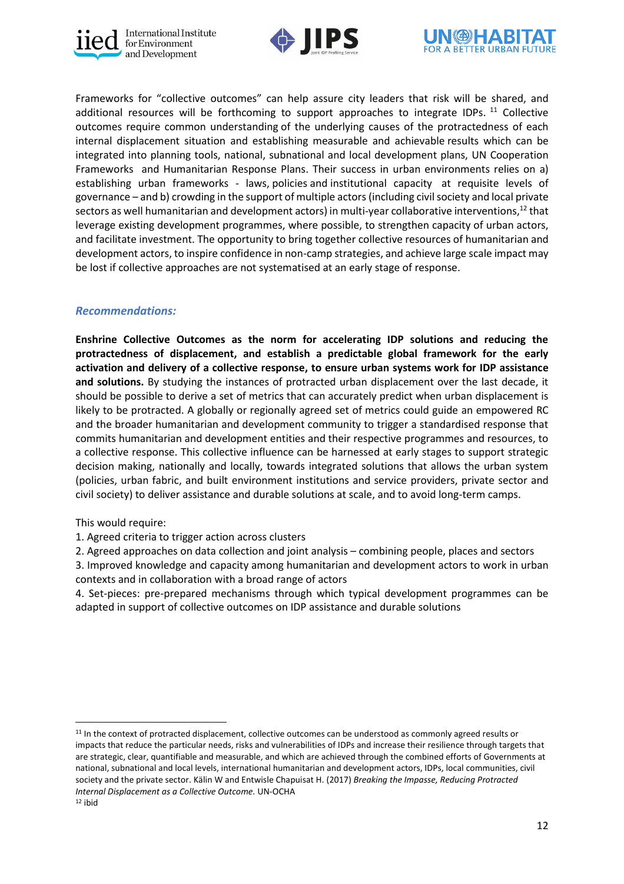





Frameworks for "collective outcomes" can help assure city leaders that risk will be shared, and additional resources will be forthcoming to support approaches to integrate IDPs. <sup>11</sup> Collective outcomes require common understanding of the underlying causes of the protractedness of each internal displacement situation and establishing measurable and achievable results which can be integrated into planning tools, national, subnational and local development plans, UN Cooperation Frameworks and Humanitarian Response Plans. Their success in urban environments relies on a) establishing urban frameworks - laws, policies and institutional capacity at requisite levels of governance – and b) crowding in the support of multiple actors(including civil society and local private sectors as well humanitarian and development actors) in multi-year collaborative interventions, $^{\rm 12}$  that leverage existing development programmes, where possible, to strengthen capacity of urban actors, and facilitate investment. The opportunity to bring together collective resources of humanitarian and development actors, to inspire confidence in non-camp strategies, and achieve large scale impact may be lost if collective approaches are not systematised at an early stage of response.

## *Recommendations:*

**Enshrine Collective Outcomes as the norm for accelerating IDP solutions and reducing the protractedness of displacement, and establish a predictable global framework for the early activation and delivery of a collective response, to ensure urban systems work for IDP assistance and solutions.** By studying the instances of protracted urban displacement over the last decade, it should be possible to derive a set of metrics that can accurately predict when urban displacement is likely to be protracted. A globally or regionally agreed set of metrics could guide an empowered RC and the broader humanitarian and development community to trigger a standardised response that commits humanitarian and development entities and their respective programmes and resources, to a collective response. This collective influence can be harnessed at early stages to support strategic decision making, nationally and locally, towards integrated solutions that allows the urban system (policies, urban fabric, and built environment institutions and service providers, private sector and civil society) to deliver assistance and durable solutions at scale, and to avoid long-term camps.

This would require:

1. Agreed criteria to trigger action across clusters

2. Agreed approaches on data collection and joint analysis – combining people, places and sectors

3. Improved knowledge and capacity among humanitarian and development actors to work in urban contexts and in collaboration with a broad range of actors

4. Set-pieces: pre-prepared mechanisms through which typical development programmes can be adapted in support of collective outcomes on IDP assistance and durable solutions

<sup>&</sup>lt;sup>11</sup> In the context of protracted displacement, collective outcomes can be understood as commonly agreed results or impacts that reduce the particular needs, risks and vulnerabilities of IDPs and increase their resilience through targets that are strategic, clear, quantifiable and measurable, and which are achieved through the combined efforts of Governments at national, subnational and local levels, international humanitarian and development actors, IDPs, local communities, civil society and the private sector. Kälin W and Entwisle Chapuisat H. (2017) *Breaking the Impasse, Reducing Protracted Internal Displacement as a Collective Outcome.* UN-OCHA  $12$  ibid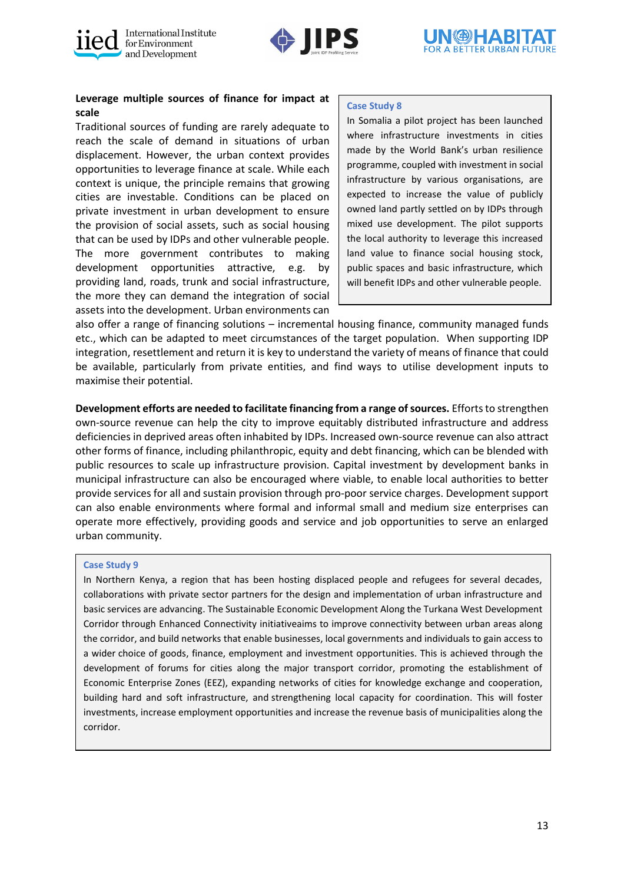





## **Leverage multiple sources of finance for impact at scale**

Traditional sources of funding are rarely adequate to reach the scale of demand in situations of urban displacement. However, the urban context provides opportunities to leverage finance at scale. While each context is unique, the principle remains that growing cities are investable. Conditions can be placed on private investment in urban development to ensure the provision of social assets, such as social housing that can be used by IDPs and other vulnerable people. The more government contributes to making development opportunities attractive, e.g. by providing land, roads, trunk and social infrastructure, the more they can demand the integration of social assets into the development. Urban environments can

#### **Case Study 8**

In Somalia a pilot project has been launched where infrastructure investments in cities made by the World Bank's urban resilience programme, coupled with investment in social infrastructure by various organisations, are expected to increase the value of publicly owned land partly settled on by IDPs through mixed use development. The pilot supports the local authority to leverage this increased land value to finance social housing stock, public spaces and basic infrastructure, which will benefit IDPs and other vulnerable people.

also offer a range of financing solutions – incremental housing finance, community managed funds etc., which can be adapted to meet circumstances of the target population. When supporting IDP integration, resettlement and return it is key to understand the variety of means of finance that could be available, particularly from private entities, and find ways to utilise development inputs to maximise their potential.

**Development efforts are needed to facilitate financing from a range of sources.** Efforts to strengthen own-source revenue can help the city to improve equitably distributed infrastructure and address deficiencies in deprived areas often inhabited by IDPs. Increased own-source revenue can also attract other forms of finance, including philanthropic, equity and debt financing, which can be blended with public resources to scale up infrastructure provision. Capital investment by development banks in municipal infrastructure can also be encouraged where viable, to enable local authorities to better provide services for all and sustain provision through pro-poor service charges. Development support can also enable environments where formal and informal small and medium size enterprises can operate more effectively, providing goods and service and job opportunities to serve an enlarged urban community.

#### **Case Study 9**

In Northern Kenya, a region that has been hosting displaced people and refugees for several decades, collaborations with private sector partners for the design and implementation of urban infrastructure and basic services are advancing. The Sustainable Economic Development Along the Turkana West Development Corridor through Enhanced Connectivity initiativeaims to improve connectivity between urban areas along the corridor, and build networks that enable businesses, local governments and individuals to gain access to a wider choice of goods, finance, employment and investment opportunities. This is achieved through the development of forums for cities along the major transport corridor, promoting the establishment of Economic Enterprise Zones (EEZ), expanding networks of cities for knowledge exchange and cooperation, building hard and soft infrastructure, and strengthening local capacity for coordination. This will foster investments, increase employment opportunities and increase the revenue basis of municipalities along the corridor.